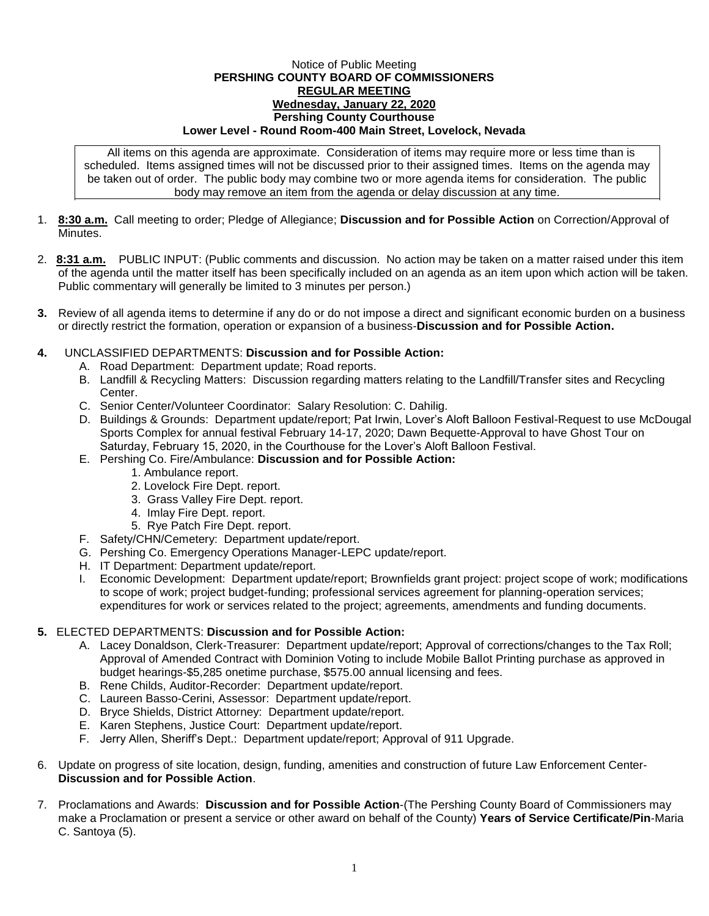## Notice of Public Meeting **PERSHING COUNTY BOARD OF COMMISSIONERS REGULAR MEETING Wednesday, January 22, 2020 Pershing County Courthouse Lower Level - Round Room-400 Main Street, Lovelock, Nevada**

All items on this agenda are approximate. Consideration of items may require more or less time than is scheduled. Items assigned times will not be discussed prior to their assigned times. Items on the agenda may be taken out of order. The public body may combine two or more agenda items for consideration. The public body may remove an item from the agenda or delay discussion at any time.

- 1. **8:30 a.m.** Call meeting to order; Pledge of Allegiance; **Discussion and for Possible Action** on Correction/Approval of **Minutes**
- 2. **8:31 a.m.** PUBLIC INPUT: (Public comments and discussion. No action may be taken on a matter raised under this item of the agenda until the matter itself has been specifically included on an agenda as an item upon which action will be taken. Public commentary will generally be limited to 3 minutes per person.)
- **3.** Review of all agenda items to determine if any do or do not impose a direct and significant economic burden on a business or directly restrict the formation, operation or expansion of a business-**Discussion and for Possible Action.**
- **4.** UNCLASSIFIED DEPARTMENTS: **Discussion and for Possible Action:**
	- A. Road Department: Department update; Road reports.
	- B. Landfill & Recycling Matters: Discussion regarding matters relating to the Landfill/Transfer sites and Recycling Center.
	- C. Senior Center/Volunteer Coordinator: Salary Resolution: C. Dahilig.
	- D. Buildings & Grounds: Department update/report; Pat Irwin, Lover's Aloft Balloon Festival-Request to use McDougal Sports Complex for annual festival February 14-17, 2020; Dawn Bequette-Approval to have Ghost Tour on Saturday, February 15, 2020, in the Courthouse for the Lover's Aloft Balloon Festival.
	- E. Pershing Co. Fire/Ambulance: **Discussion and for Possible Action:**
		- 1. Ambulance report.
		- 2. Lovelock Fire Dept. report.
		- 3. Grass Valley Fire Dept. report.
		- 4. Imlay Fire Dept. report.
		- 5. Rye Patch Fire Dept. report.
	- F. Safety/CHN/Cemetery: Department update/report.
	- G. Pershing Co. Emergency Operations Manager-LEPC update/report.
	- H. IT Department: Department update/report.
	- I. Economic Development: Department update/report; Brownfields grant project: project scope of work; modifications to scope of work; project budget-funding; professional services agreement for planning-operation services; expenditures for work or services related to the project; agreements, amendments and funding documents.

## **5.** ELECTED DEPARTMENTS: **Discussion and for Possible Action:**

- A. Lacey Donaldson, Clerk-Treasurer: Department update/report; Approval of corrections/changes to the Tax Roll; Approval of Amended Contract with Dominion Voting to include Mobile Ballot Printing purchase as approved in budget hearings-\$5,285 onetime purchase, \$575.00 annual licensing and fees.
- B. Rene Childs, Auditor-Recorder: Department update/report.
- C. Laureen Basso-Cerini, Assessor: Department update/report.
- D. Bryce Shields, District Attorney: Department update/report.
- E. Karen Stephens, Justice Court: Department update/report.
- F. Jerry Allen, Sheriff's Dept.: Department update/report; Approval of 911 Upgrade.
- 6. Update on progress of site location, design, funding, amenities and construction of future Law Enforcement Center-**Discussion and for Possible Action**.
- 7. Proclamations and Awards: **Discussion and for Possible Action**-(The Pershing County Board of Commissioners may make a Proclamation or present a service or other award on behalf of the County) **Years of Service Certificate/Pin**-Maria C. Santoya (5).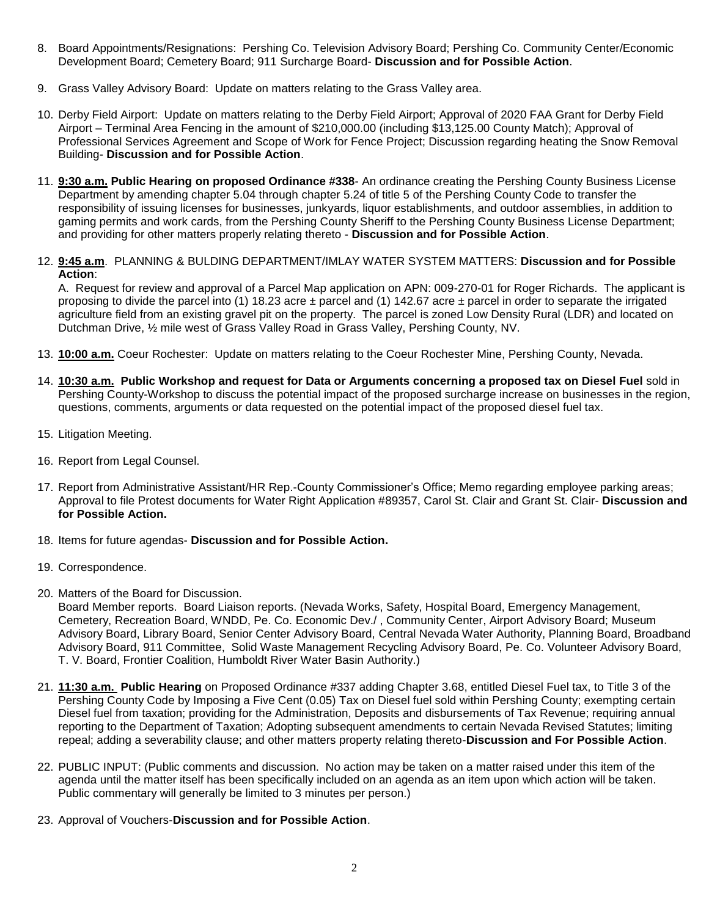- 8. Board Appointments/Resignations: Pershing Co. Television Advisory Board; Pershing Co. Community Center/Economic Development Board; Cemetery Board; 911 Surcharge Board- **Discussion and for Possible Action**.
- 9. Grass Valley Advisory Board: Update on matters relating to the Grass Valley area.
- 10. Derby Field Airport: Update on matters relating to the Derby Field Airport; Approval of 2020 FAA Grant for Derby Field Airport – Terminal Area Fencing in the amount of \$210,000.00 (including \$13,125.00 County Match); Approval of Professional Services Agreement and Scope of Work for Fence Project; Discussion regarding heating the Snow Removal Building- **Discussion and for Possible Action**.
- 11. **9:30 a.m. Public Hearing on proposed Ordinance #338** An ordinance creating the Pershing County Business License Department by amending chapter 5.04 through chapter 5.24 of title 5 of the Pershing County Code to transfer the responsibility of issuing licenses for businesses, junkyards, liquor establishments, and outdoor assemblies, in addition to gaming permits and work cards, from the Pershing County Sheriff to the Pershing County Business License Department; and providing for other matters properly relating thereto - **Discussion and for Possible Action**.
- 12. **9:45 a.m**. PLANNING & BULDING DEPARTMENT/IMLAY WATER SYSTEM MATTERS: **Discussion and for Possible Action**:

A. Request for review and approval of a Parcel Map application on APN: 009-270-01 for Roger Richards. The applicant is proposing to divide the parcel into (1) 18.23 acre  $\pm$  parcel and (1) 142.67 acre  $\pm$  parcel in order to separate the irrigated agriculture field from an existing gravel pit on the property. The parcel is zoned Low Density Rural (LDR) and located on Dutchman Drive, ½ mile west of Grass Valley Road in Grass Valley, Pershing County, NV.

- 13. **10:00 a.m.** Coeur Rochester: Update on matters relating to the Coeur Rochester Mine, Pershing County, Nevada.
- 14. **10:30 a.m. Public Workshop and request for Data or Arguments concerning a proposed tax on Diesel Fuel** sold in Pershing County-Workshop to discuss the potential impact of the proposed surcharge increase on businesses in the region, questions, comments, arguments or data requested on the potential impact of the proposed diesel fuel tax.
- 15. Litigation Meeting.
- 16. Report from Legal Counsel.
- 17. Report from Administrative Assistant/HR Rep.-County Commissioner's Office; Memo regarding employee parking areas; Approval to file Protest documents for Water Right Application #89357, Carol St. Clair and Grant St. Clair- **Discussion and for Possible Action.**
- 18. Items for future agendas- **Discussion and for Possible Action.**
- 19. Correspondence.
- 20. Matters of the Board for Discussion.
	- Board Member reports. Board Liaison reports. (Nevada Works, Safety, Hospital Board, Emergency Management, Cemetery, Recreation Board, WNDD, Pe. Co. Economic Dev./ , Community Center, Airport Advisory Board; Museum Advisory Board, Library Board, Senior Center Advisory Board, Central Nevada Water Authority, Planning Board, Broadband Advisory Board, 911 Committee, Solid Waste Management Recycling Advisory Board, Pe. Co. Volunteer Advisory Board, T. V. Board, Frontier Coalition, Humboldt River Water Basin Authority.)
- 21. **11:30 a.m. Public Hearing** on Proposed Ordinance #337 adding Chapter 3.68, entitled Diesel Fuel tax, to Title 3 of the Pershing County Code by Imposing a Five Cent (0.05) Tax on Diesel fuel sold within Pershing County; exempting certain Diesel fuel from taxation; providing for the Administration, Deposits and disbursements of Tax Revenue; requiring annual reporting to the Department of Taxation; Adopting subsequent amendments to certain Nevada Revised Statutes; limiting repeal; adding a severability clause; and other matters property relating thereto-**Discussion and For Possible Action**.
- 22. PUBLIC INPUT: (Public comments and discussion. No action may be taken on a matter raised under this item of the agenda until the matter itself has been specifically included on an agenda as an item upon which action will be taken. Public commentary will generally be limited to 3 minutes per person.)
- 23. Approval of Vouchers-**Discussion and for Possible Action**.